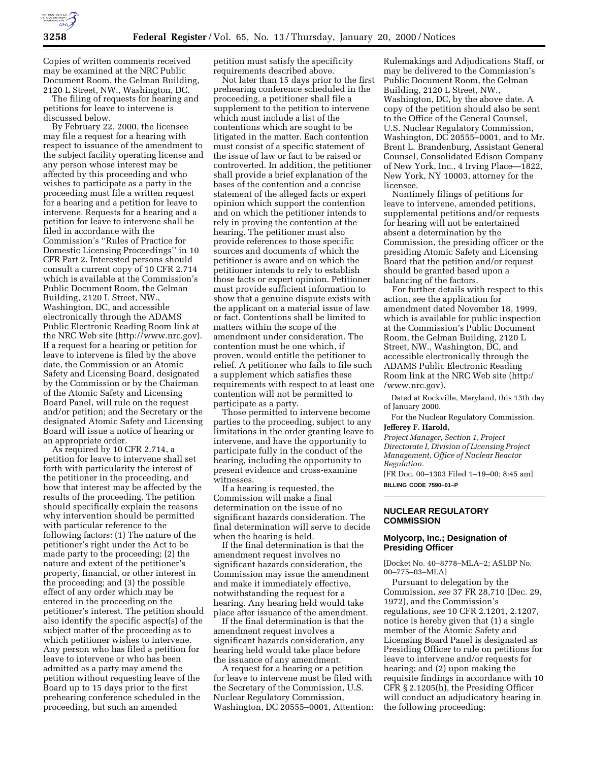

Copies of written comments received may be examined at the NRC Public Document Room, the Gelman Building, 2120 L Street, NW., Washington, DC.

The filing of requests for hearing and petitions for leave to intervene is discussed below.

By February 22, 2000, the licensee may file a request for a hearing with respect to issuance of the amendment to the subject facility operating license and any person whose interest may be affected by this proceeding and who wishes to participate as a party in the proceeding must file a written request for a hearing and a petition for leave to intervene. Requests for a hearing and a petition for leave to intervene shall be filed in accordance with the Commission's ''Rules of Practice for Domestic Licensing Proceedings'' in 10 CFR Part 2. Interested persons should consult a current copy of 10 CFR 2.714 which is available at the Commission's Public Document Room, the Gelman Building, 2120 L Street, NW., Washington, DC, and accessible electronically through the ADAMS Public Electronic Reading Room link at the NRC Web site (http://www.nrc.gov). If a request for a hearing or petition for leave to intervene is filed by the above date, the Commission or an Atomic Safety and Licensing Board, designated by the Commission or by the Chairman of the Atomic Safety and Licensing Board Panel, will rule on the request and/or petition; and the Secretary or the designated Atomic Safety and Licensing Board will issue a notice of hearing or an appropriate order.

As required by 10 CFR 2.714, a petition for leave to intervene shall set forth with particularity the interest of the petitioner in the proceeding, and how that interest may be affected by the results of the proceeding. The petition should specifically explain the reasons why intervention should be permitted with particular reference to the following factors: (1) The nature of the petitioner's right under the Act to be made party to the proceeding; (2) the nature and extent of the petitioner's property, financial, or other interest in the proceeding; and (3) the possible effect of any order which may be entered in the proceeding on the petitioner's interest. The petition should also identify the specific aspect(s) of the subject matter of the proceeding as to which petitioner wishes to intervene. Any person who has filed a petition for leave to intervene or who has been admitted as a party may amend the petition without requesting leave of the Board up to 15 days prior to the first prehearing conference scheduled in the proceeding, but such an amended

petition must satisfy the specificity requirements described above.

Not later than 15 days prior to the first prehearing conference scheduled in the proceeding, a petitioner shall file a supplement to the petition to intervene which must include a list of the contentions which are sought to be litigated in the matter. Each contention must consist of a specific statement of the issue of law or fact to be raised or controverted. In addition, the petitioner shall provide a brief explanation of the bases of the contention and a concise statement of the alleged facts or expert opinion which support the contention and on which the petitioner intends to rely in proving the contention at the hearing. The petitioner must also provide references to those specific sources and documents of which the petitioner is aware and on which the petitioner intends to rely to establish those facts or expert opinion. Petitioner must provide sufficient information to show that a genuine dispute exists with the applicant on a material issue of law or fact. Contentions shall be limited to matters within the scope of the amendment under consideration. The contention must be one which, if proven, would entitle the petitioner to relief. A petitioner who fails to file such a supplement which satisfies these requirements with respect to at least one contention will not be permitted to participate as a party.

Those permitted to intervene become parties to the proceeding, subject to any limitations in the order granting leave to intervene, and have the opportunity to participate fully in the conduct of the hearing, including the opportunity to present evidence and cross-examine witnesses.

If a hearing is requested, the Commission will make a final determination on the issue of no significant hazards consideration. The final determination will serve to decide when the hearing is held.

If the final determination is that the amendment request involves no significant hazards consideration, the Commission may issue the amendment and make it immediately effective, notwithstanding the request for a hearing. Any hearing held would take place after issuance of the amendment.

If the final determination is that the amendment request involves a significant hazards consideration, any hearing held would take place before the issuance of any amendment.

A request for a hearing or a petition for leave to intervene must be filed with the Secretary of the Commission, U.S. Nuclear Regulatory Commission, Washington, DC 20555–0001, Attention:

Rulemakings and Adjudications Staff, or may be delivered to the Commission's Public Document Room, the Gelman Building, 2120 L Street, NW., Washington, DC, by the above date. A copy of the petition should also be sent to the Office of the General Counsel, U.S. Nuclear Regulatory Commission, Washington, DC 20555–0001, and to Mr. Brent L. Brandenburg, Assistant General Counsel, Consolidated Edison Company of New York, Inc., 4 Irving Place—1822, New York, NY 10003, attorney for the licensee.

Nontimely filings of petitions for leave to intervene, amended petitions, supplemental petitions and/or requests for hearing will not be entertained absent a determination by the Commission, the presiding officer or the presiding Atomic Safety and Licensing Board that the petition and/or request should be granted based upon a balancing of the factors.

For further details with respect to this action, see the application for amendment dated November 18, 1999, which is available for public inspection at the Commission's Public Document Room, the Gelman Building, 2120 L Street, NW., Washington, DC, and accessible electronically through the ADAMS Public Electronic Reading Room link at the NRC Web site (http:/ /www.nrc.gov).

Dated at Rockville, Maryland, this 13th day of January 2000.

For the Nuclear Regulatory Commission.

# **Jefferey F. Harold,**

*Project Manager, Section 1, Project Directorate I, Division of Licensing Project Management, Office of Nuclear Reactor Regulation.*

[FR Doc. 00–1303 Filed 1–19–00; 8:45 am] **BILLING CODE 7590–01–P**

# **NUCLEAR REGULATORY COMMISSION**

# **Molycorp, Inc.; Designation of Presiding Officer**

[Docket No. 40–8778–MLA–2; ASLBP No. 00–775–03–MLA]

Pursuant to delegation by the Commission, *see* 37 FR 28,710 (Dec. 29, 1972), and the Commission's regulations, *see* 10 CFR 2.1201, 2.1207, notice is hereby given that (1) a single member of the Atomic Safety and Licensing Board Panel is designated as Presiding Officer to rule on petitions for leave to intervene and/or requests for hearing; and (2) upon making the requisite findings in accordance with 10 CFR § 2.1205(h), the Presiding Officer will conduct an adjudicatory hearing in the following proceeding: